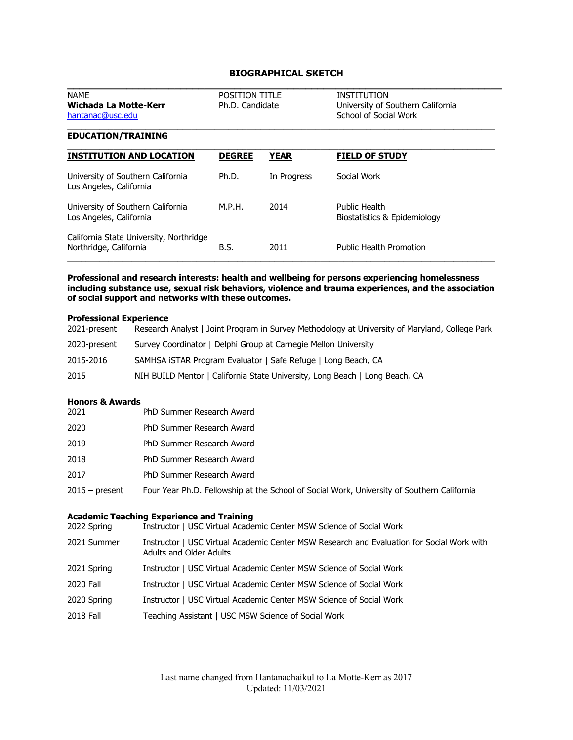# **BIOGRAPHICAL SKETCH**

| <b>NAME</b><br>Wichada La Motte-Kerr<br>hantanac@usc.edu          | <b>POSITION TITLE</b><br>Ph.D. Candidate |             | <b>INSTITUTION</b><br>University of Southern California<br>School of Social Work |
|-------------------------------------------------------------------|------------------------------------------|-------------|----------------------------------------------------------------------------------|
| <b>EDUCATION/TRAINING</b>                                         |                                          |             |                                                                                  |
| <b>INSTITUTION AND LOCATION</b>                                   | <b>DEGREE</b>                            | <b>YEAR</b> | <b>FIELD OF STUDY</b>                                                            |
| University of Southern California<br>Los Angeles, California      | Ph.D.                                    | In Progress | Social Work                                                                      |
| University of Southern California<br>Los Angeles, California      | M.P.H.                                   | 2014        | Public Health<br>Biostatistics & Epidemiology                                    |
| California State University, Northridge<br>Northridge, California | B.S.                                     | 2011        | Public Health Promotion                                                          |

**Professional and research interests: health and wellbeing for persons experiencing homelessness including substance use, sexual risk behaviors, violence and trauma experiences, and the association of social support and networks with these outcomes.** 

#### **Professional Experience**

| 2021-present | Research Analyst   Joint Program in Survey Methodology at University of Maryland, College Park |
|--------------|------------------------------------------------------------------------------------------------|
| 2020-present | Survey Coordinator   Delphi Group at Carnegie Mellon University                                |
| 2015-2016    | SAMHSA ISTAR Program Evaluator   Safe Refuge   Long Beach, CA                                  |
| 2015         | NIH BUILD Mentor   California State University, Long Beach   Long Beach, CA                    |

# **Honors & Awards**

| 2021             | PhD Summer Research Award                                                                  |
|------------------|--------------------------------------------------------------------------------------------|
| 2020             | PhD Summer Research Award                                                                  |
| 2019             | PhD Summer Research Award                                                                  |
| 2018             | PhD Summer Research Award                                                                  |
| 2017             | PhD Summer Research Award                                                                  |
| $2016$ – present | Four Year Ph.D. Fellowship at the School of Social Work, University of Southern California |

# **Academic Teaching Experience and Training**

| 2022 Spring      | Academic Teaching Experience and Training<br>Instructor   USC Virtual Academic Center MSW Science of Social Work            |
|------------------|-----------------------------------------------------------------------------------------------------------------------------|
| 2021 Summer      | Instructor   USC Virtual Academic Center MSW Research and Evaluation for Social Work with<br><b>Adults and Older Adults</b> |
| 2021 Spring      | Instructor   USC Virtual Academic Center MSW Science of Social Work                                                         |
| 2020 Fall        | Instructor   USC Virtual Academic Center MSW Science of Social Work                                                         |
| 2020 Spring      | Instructor   USC Virtual Academic Center MSW Science of Social Work                                                         |
| <b>2018 Fall</b> | Teaching Assistant   USC MSW Science of Social Work                                                                         |
|                  |                                                                                                                             |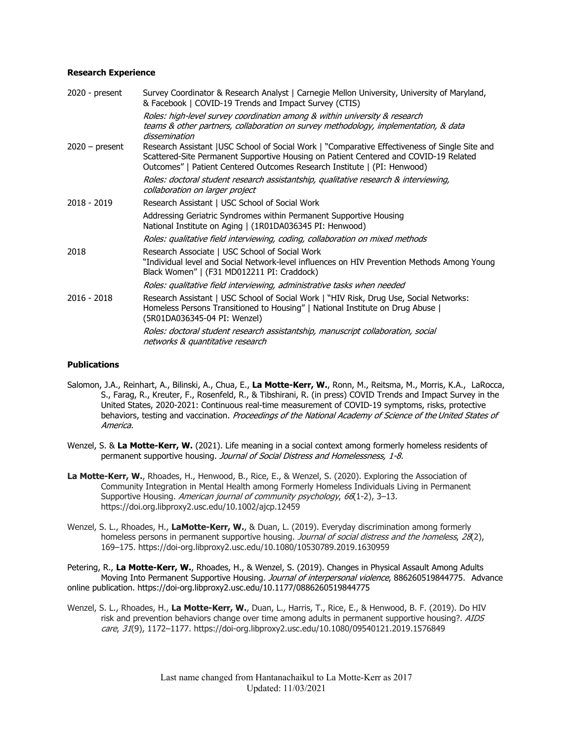### **Research Experience**

| 2020 - present   | Survey Coordinator & Research Analyst   Carnegie Mellon University, University of Maryland,<br>& Facebook   COVID-19 Trends and Impact Survey (CTIS)                                                                                                               |
|------------------|--------------------------------------------------------------------------------------------------------------------------------------------------------------------------------------------------------------------------------------------------------------------|
|                  | Roles: high-level survey coordination among & within university & research<br>teams & other partners, collaboration on survey methodology, implementation, & data<br>dissemination                                                                                 |
| $2020 - present$ | Research Assistant   USC School of Social Work   "Comparative Effectiveness of Single Site and<br>Scattered-Site Permanent Supportive Housing on Patient Centered and COVID-19 Related<br>Outcomes"   Patient Centered Outcomes Research Institute   (PI: Henwood) |
|                  | Roles: doctoral student research assistantship, qualitative research & interviewing,<br>collaboration on larger project                                                                                                                                            |
| 2018 - 2019      | Research Assistant   USC School of Social Work                                                                                                                                                                                                                     |
|                  | Addressing Geriatric Syndromes within Permanent Supportive Housing<br>National Institute on Aging   (1R01DA036345 PI: Henwood)                                                                                                                                     |
|                  | Roles: qualitative field interviewing, coding, collaboration on mixed methods                                                                                                                                                                                      |
| 2018             | Research Associate   USC School of Social Work<br>"Individual level and Social Network-level influences on HIV Prevention Methods Among Young<br>Black Women"   (F31 MD012211 PI: Craddock)                                                                        |
|                  | Roles: qualitative field interviewing, administrative tasks when needed                                                                                                                                                                                            |
| $2016 - 2018$    | Research Assistant   USC School of Social Work   "HIV Risk, Drug Use, Social Networks:<br>Homeless Persons Transitioned to Housing"   National Institute on Drug Abuse  <br>(5R01DA036345-04 PI: Wenzel)                                                           |
|                  | Roles: doctoral student research assistantship, manuscript collaboration, social<br>networks & quantitative research                                                                                                                                               |

## **Publications**

- Salomon, J.A., Reinhart, A., Bilinski, A., Chua, E., **La Motte-Kerr, W.**, Ronn, M., Reitsma, M., Morris, K.A., LaRocca, S., Farag, R., Kreuter, F., Rosenfeld, R., & Tibshirani, R. (in press) COVID Trends and Impact Survey in the United States, 2020-2021: Continuous real-time measurement of COVID-19 symptoms, risks, protective behaviors, testing and vaccination. Proceedings of the National Academy of Science of the United States of America.
- Wenzel, S. & **La Motte-Kerr, W.** (2021). Life meaning in a social context among formerly homeless residents of permanent supportive housing. Journal of Social Distress and Homelessness, 1-8.
- **La Motte-Kerr, W.**, Rhoades, H., Henwood, B., Rice, E., & Wenzel, S. (2020). Exploring the Association of Community Integration in Mental Health among Formerly Homeless Individuals Living in Permanent Supportive Housing. American journal of community psychology, 66(1-2), 3-13. https://doi.org.libproxy2.usc.edu/10.1002/ajcp.12459
- Wenzel, S. L., Rhoades, H., **LaMotte-Kerr, W.**, & Duan, L. (2019). Everyday discrimination among formerly homeless persons in permanent supportive housing. Journal of social distress and the homeless, 28(2), 169–175. https://doi-org.libproxy2.usc.edu/10.1080/10530789.2019.1630959

Petering, R., **La Motte-Kerr, W.**, Rhoades, H., & Wenzel, S. (2019). Changes in Physical Assault Among Adults Moving Into Permanent Supportive Housing. *Journal of interpersonal violence*, 886260519844775. Advance online publication. https://doi-org.libproxy2.usc.edu/10.1177/0886260519844775

Wenzel, S. L., Rhoades, H., **La Motte-Kerr, W.**, Duan, L., Harris, T., Rice, E., & Henwood, B. F. (2019). Do HIV risk and prevention behaviors change over time among adults in permanent supportive housing?. AIDS care, 31(9), 1172–1177. https://doi-org.libproxy2.usc.edu/10.1080/09540121.2019.1576849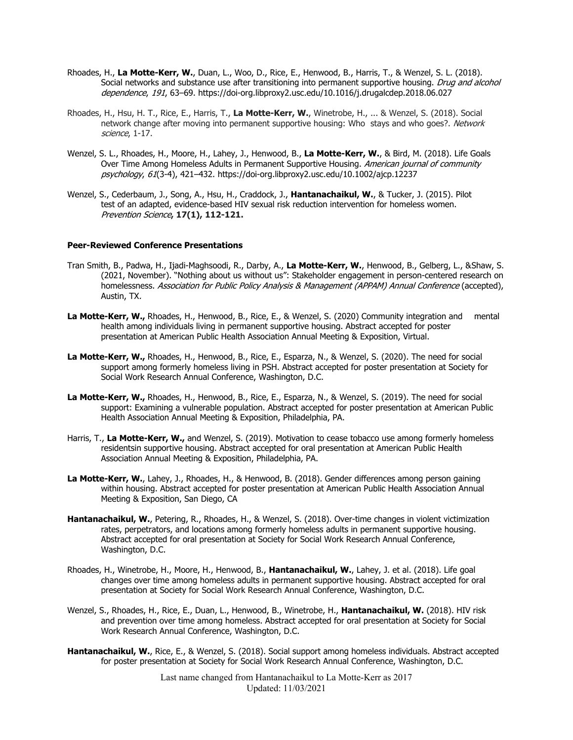- Rhoades, H., **La Motte-Kerr, W.**, Duan, L., Woo, D., Rice, E., Henwood, B., Harris, T., & Wenzel, S. L. (2018). Social networks and substance use after transitioning into permanent supportive housing. Drug and alcohol dependence, 191, 63–69. https://doi-org.libproxy2.usc.edu/10.1016/j.drugalcdep.2018.06.027
- Rhoades, H., Hsu, H. T., Rice, E., Harris, T., **La Motte-Kerr, W.**, Winetrobe, H., ... & Wenzel, S. (2018). Social network change after moving into permanent supportive housing: Who stays and who goes?. Network science, 1-17.
- Wenzel, S. L., Rhoades, H., Moore, H., Lahey, J., Henwood, B., **La Motte-Kerr, W.**, & Bird, M. (2018). Life Goals Over Time Among Homeless Adults in Permanent Supportive Housing. American journal of community psychology, 61(3-4), 421–432. https://doi-org.libproxy2.usc.edu/10.1002/ajcp.12237
- Wenzel, S., Cederbaum, J., Song, A., Hsu, H., Craddock, J., **Hantanachaikul, W.**, & Tucker, J. (2015). Pilot test of an adapted, evidence-based HIV sexual risk reduction intervention for homeless women. Prevention Science**, 17(1), 112-121.**

#### **Peer-Reviewed Conference Presentations**

- Tran Smith, B., Padwa, H., Ijadi-Maghsoodi, R., Darby, A., **La Motte-Kerr, W.**, Henwood, B., Gelberg, L., & Shaw, S. (2021, November). "Nothing about us without us": Stakeholder engagement in person-centered research on homelessness. Association for Public Policy Analysis & Management (APPAM) Annual Conference (accepted), Austin, TX.
- **La Motte-Kerr, W.,** Rhoades, H., Henwood, B., Rice, E., & Wenzel, S. (2020) Community integration and mental health among individuals living in permanent supportive housing. Abstract accepted for poster presentation at American Public Health Association Annual Meeting & Exposition, Virtual.
- **La Motte-Kerr, W.,** Rhoades, H., Henwood, B., Rice, E., Esparza, N., & Wenzel, S. (2020). The need for social support among formerly homeless living in PSH. Abstract accepted for poster presentation at Society for Social Work Research Annual Conference, Washington, D.C.
- **La Motte-Kerr, W.,** Rhoades, H., Henwood, B., Rice, E., Esparza, N., & Wenzel, S. (2019). The need for social support: Examining a vulnerable population. Abstract accepted for poster presentation at American Public Health Association Annual Meeting & Exposition, Philadelphia, PA.
- Harris, T., **La Motte-Kerr, W.,** and Wenzel, S. (2019). Motivation to cease tobacco use among formerly homeless residentsin supportive housing. Abstract accepted for oral presentation at American Public Health Association Annual Meeting & Exposition, Philadelphia, PA.
- **La Motte-Kerr, W.**, Lahey, J., Rhoades, H., & Henwood, B. (2018). Gender differences among person gaining within housing. Abstract accepted for poster presentation at American Public Health Association Annual Meeting & Exposition, San Diego, CA
- **Hantanachaikul, W.**, Petering, R., Rhoades, H., & Wenzel, S. (2018). Over-time changes in violent victimization rates, perpetrators, and locations among formerly homeless adults in permanent supportive housing. Abstract accepted for oral presentation at Society for Social Work Research Annual Conference, Washington, D.C.
- Rhoades, H., Winetrobe, H., Moore, H., Henwood, B., **Hantanachaikul, W.**, Lahey, J. et al. (2018). Life goal changes over time among homeless adults in permanent supportive housing. Abstract accepted for oral presentation at Society for Social Work Research Annual Conference, Washington, D.C.
- Wenzel, S., Rhoades, H., Rice, E., Duan, L., Henwood, B., Winetrobe, H., **Hantanachaikul, W.** (2018). HIV risk and prevention over time among homeless. Abstract accepted for oral presentation at Society for Social Work Research Annual Conference, Washington, D.C.
- **Hantanachaikul, W.**, Rice, E., & Wenzel, S. (2018). Social support among homeless individuals. Abstract accepted for poster presentation at Society for Social Work Research Annual Conference, Washington, D.C.

Last name changed from Hantanachaikul to La Motte-Kerr as 2017 Updated: 11/03/2021